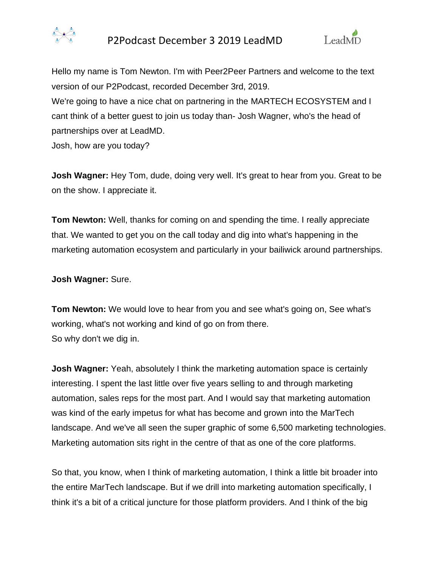



Hello my name is Tom Newton. I'm with Peer2Peer Partners and welcome to the text version of our P2Podcast, recorded December 3rd, 2019. We're going to have a nice chat on partnering in the MARTECH ECOSYSTEM and I cant think of a better guest to join us today than- Josh Wagner, who's the head of partnerships over at LeadMD.

Josh, how are you today?

**Josh Wagner:** Hey Tom, dude, doing very well. It's great to hear from you. Great to be on the show. I appreciate it.

**Tom Newton:** Well, thanks for coming on and spending the time. I really appreciate that. We wanted to get you on the call today and dig into what's happening in the marketing automation ecosystem and particularly in your bailiwick around partnerships.

#### **Josh Wagner:** Sure.

**Tom Newton:** We would love to hear from you and see what's going on, See what's working, what's not working and kind of go on from there. So why don't we dig in.

**Josh Wagner:** Yeah, absolutely I think the marketing automation space is certainly interesting. I spent the last little over five years selling to and through marketing automation, sales reps for the most part. And I would say that marketing automation was kind of the early impetus for what has become and grown into the MarTech landscape. And we've all seen the super graphic of some 6,500 marketing technologies. Marketing automation sits right in the centre of that as one of the core platforms.

So that, you know, when I think of marketing automation, I think a little bit broader into the entire MarTech landscape. But if we drill into marketing automation specifically, I think it's a bit of a critical juncture for those platform providers. And I think of the big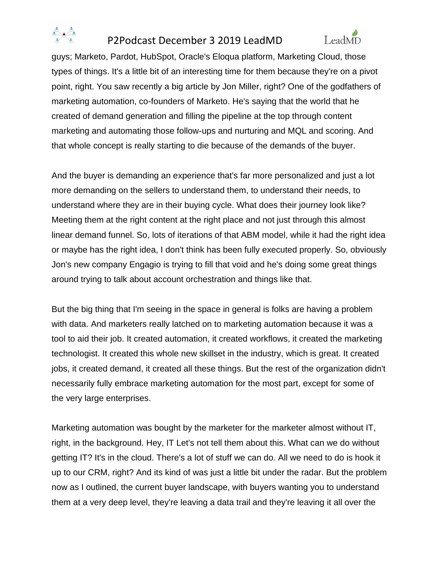



guys; Marketo, Pardot, HubSpot, Oracle's Eloqua platform, Marketing Cloud, those types of things. It's a little bit of an interesting time for them because they're on a pivot point, right. You saw recently a big article by Jon Miller, right? One of the godfathers of marketing automation, co-founders of Marketo. He's saying that the world that he created of demand generation and filling the pipeline at the top through content marketing and automating those follow-ups and nurturing and MQL and scoring. And that whole concept is really starting to die because of the demands of the buyer.

And the buyer is demanding an experience that's far more personalized and just a lot more demanding on the sellers to understand them, to understand their needs, to understand where they are in their buying cycle. What does their journey look like? Meeting them at the right content at the right place and not just through this almost linear demand funnel. So, lots of iterations of that ABM model, while it had the right idea or maybe has the right idea, I don't think has been fully executed properly. So, obviously Jon's new company Engagio is trying to fill that void and he's doing some great things around trying to talk about account orchestration and things like that.

But the big thing that I'm seeing in the space in general is folks are having a problem with data. And marketers really latched on to marketing automation because it was a tool to aid their job. It created automation, it created workflows, it created the marketing technologist. It created this whole new skillset in the industry, which is great. It created jobs, it created demand, it created all these things. But the rest of the organization didn't necessarily fully embrace marketing automation for the most part, except for some of the very large enterprises.

Marketing automation was bought by the marketer for the marketer almost without IT, right, in the background. Hey, IT Let's not tell them about this. What can we do without getting IT? It's in the cloud. There's a lot of stuff we can do. All we need to do is hook it up to our CRM, right? And its kind of was just a little bit under the radar. But the problem now as I outlined, the current buyer landscape, with buyers wanting you to understand them at a very deep level, they're leaving a data trail and they're leaving it all over the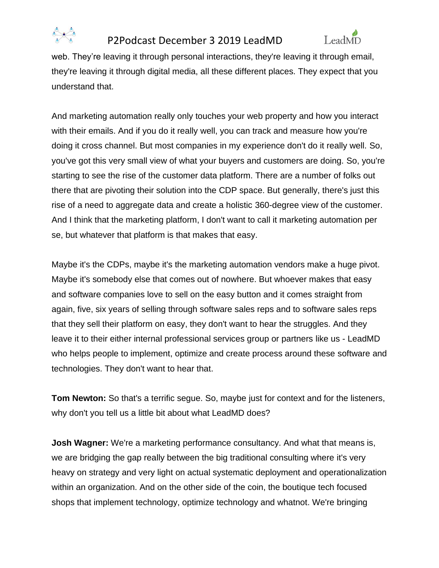



web. They're leaving it through personal interactions, they're leaving it through email, they're leaving it through digital media, all these different places. They expect that you understand that.

And marketing automation really only touches your web property and how you interact with their emails. And if you do it really well, you can track and measure how you're doing it cross channel. But most companies in my experience don't do it really well. So, you've got this very small view of what your buyers and customers are doing. So, you're starting to see the rise of the customer data platform. There are a number of folks out there that are pivoting their solution into the CDP space. But generally, there's just this rise of a need to aggregate data and create a holistic 360-degree view of the customer. And I think that the marketing platform, I don't want to call it marketing automation per se, but whatever that platform is that makes that easy.

Maybe it's the CDPs, maybe it's the marketing automation vendors make a huge pivot. Maybe it's somebody else that comes out of nowhere. But whoever makes that easy and software companies love to sell on the easy button and it comes straight from again, five, six years of selling through software sales reps and to software sales reps that they sell their platform on easy, they don't want to hear the struggles. And they leave it to their either internal professional services group or partners like us - LeadMD who helps people to implement, optimize and create process around these software and technologies. They don't want to hear that.

**Tom Newton:** So that's a terrific segue. So, maybe just for context and for the listeners, why don't you tell us a little bit about what LeadMD does?

**Josh Wagner:** We're a marketing performance consultancy. And what that means is, we are bridging the gap really between the big traditional consulting where it's very heavy on strategy and very light on actual systematic deployment and operationalization within an organization. And on the other side of the coin, the boutique tech focused shops that implement technology, optimize technology and whatnot. We're bringing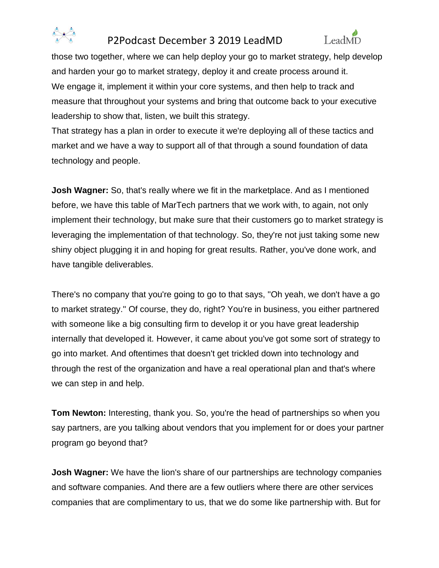



those two together, where we can help deploy your go to market strategy, help develop and harden your go to market strategy, deploy it and create process around it. We engage it, implement it within your core systems, and then help to track and measure that throughout your systems and bring that outcome back to your executive leadership to show that, listen, we built this strategy.

That strategy has a plan in order to execute it we're deploying all of these tactics and market and we have a way to support all of that through a sound foundation of data technology and people.

**Josh Wagner:** So, that's really where we fit in the marketplace. And as I mentioned before, we have this table of MarTech partners that we work with, to again, not only implement their technology, but make sure that their customers go to market strategy is leveraging the implementation of that technology. So, they're not just taking some new shiny object plugging it in and hoping for great results. Rather, you've done work, and have tangible deliverables.

There's no company that you're going to go to that says, ''Oh yeah, we don't have a go to market strategy.'' Of course, they do, right? You're in business, you either partnered with someone like a big consulting firm to develop it or you have great leadership internally that developed it. However, it came about you've got some sort of strategy to go into market. And oftentimes that doesn't get trickled down into technology and through the rest of the organization and have a real operational plan and that's where we can step in and help.

**Tom Newton:** Interesting, thank you. So, you're the head of partnerships so when you say partners, are you talking about vendors that you implement for or does your partner program go beyond that?

**Josh Wagner:** We have the lion's share of our partnerships are technology companies and software companies. And there are a few outliers where there are other services companies that are complimentary to us, that we do some like partnership with. But for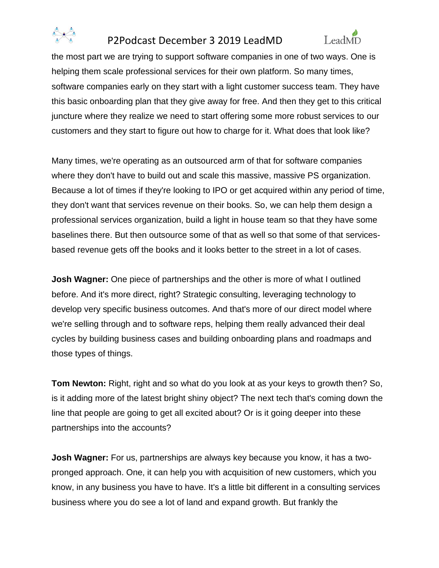



the most part we are trying to support software companies in one of two ways. One is helping them scale professional services for their own platform. So many times, software companies early on they start with a light customer success team. They have this basic onboarding plan that they give away for free. And then they get to this critical juncture where they realize we need to start offering some more robust services to our customers and they start to figure out how to charge for it. What does that look like?

Many times, we're operating as an outsourced arm of that for software companies where they don't have to build out and scale this massive, massive PS organization. Because a lot of times if they're looking to IPO or get acquired within any period of time, they don't want that services revenue on their books. So, we can help them design a professional services organization, build a light in house team so that they have some baselines there. But then outsource some of that as well so that some of that servicesbased revenue gets off the books and it looks better to the street in a lot of cases.

**Josh Wagner:** One piece of partnerships and the other is more of what I outlined before. And it's more direct, right? Strategic consulting, leveraging technology to develop very specific business outcomes. And that's more of our direct model where we're selling through and to software reps, helping them really advanced their deal cycles by building business cases and building onboarding plans and roadmaps and those types of things.

**Tom Newton:** Right, right and so what do you look at as your keys to growth then? So, is it adding more of the latest bright shiny object? The next tech that's coming down the line that people are going to get all excited about? Or is it going deeper into these partnerships into the accounts?

**Josh Wagner:** For us, partnerships are always key because you know, it has a twopronged approach. One, it can help you with acquisition of new customers, which you know, in any business you have to have. It's a little bit different in a consulting services business where you do see a lot of land and expand growth. But frankly the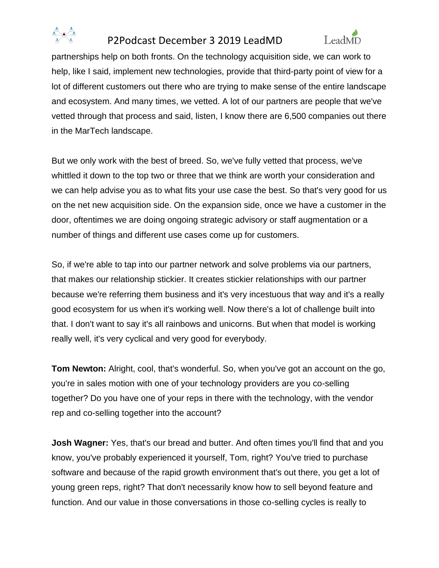



partnerships help on both fronts. On the technology acquisition side, we can work to help, like I said, implement new technologies, provide that third-party point of view for a lot of different customers out there who are trying to make sense of the entire landscape and ecosystem. And many times, we vetted. A lot of our partners are people that we've vetted through that process and said, listen, I know there are 6,500 companies out there in the MarTech landscape.

But we only work with the best of breed. So, we've fully vetted that process, we've whittled it down to the top two or three that we think are worth your consideration and we can help advise you as to what fits your use case the best. So that's very good for us on the net new acquisition side. On the expansion side, once we have a customer in the door, oftentimes we are doing ongoing strategic advisory or staff augmentation or a number of things and different use cases come up for customers.

So, if we're able to tap into our partner network and solve problems via our partners, that makes our relationship stickier. It creates stickier relationships with our partner because we're referring them business and it's very incestuous that way and it's a really good ecosystem for us when it's working well. Now there's a lot of challenge built into that. I don't want to say it's all rainbows and unicorns. But when that model is working really well, it's very cyclical and very good for everybody.

**Tom Newton:** Alright, cool, that's wonderful. So, when you've got an account on the go, you're in sales motion with one of your technology providers are you co-selling together? Do you have one of your reps in there with the technology, with the vendor rep and co-selling together into the account?

**Josh Wagner:** Yes, that's our bread and butter. And often times you'll find that and you know, you've probably experienced it yourself, Tom, right? You've tried to purchase software and because of the rapid growth environment that's out there, you get a lot of young green reps, right? That don't necessarily know how to sell beyond feature and function. And our value in those conversations in those co-selling cycles is really to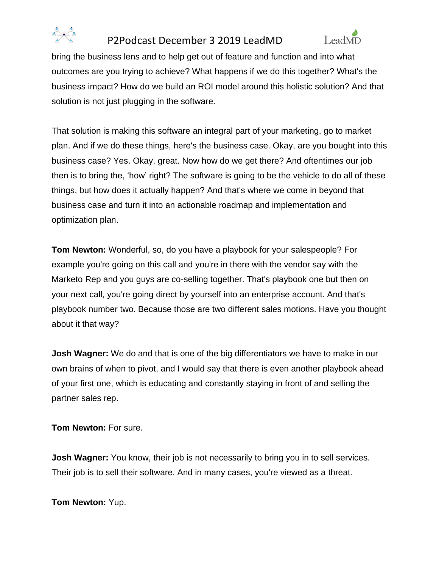



bring the business lens and to help get out of feature and function and into what outcomes are you trying to achieve? What happens if we do this together? What's the business impact? How do we build an ROI model around this holistic solution? And that solution is not just plugging in the software.

That solution is making this software an integral part of your marketing, go to market plan. And if we do these things, here's the business case. Okay, are you bought into this business case? Yes. Okay, great. Now how do we get there? And oftentimes our job then is to bring the, 'how' right? The software is going to be the vehicle to do all of these things, but how does it actually happen? And that's where we come in beyond that business case and turn it into an actionable roadmap and implementation and optimization plan.

**Tom Newton:** Wonderful, so, do you have a playbook for your salespeople? For example you're going on this call and you're in there with the vendor say with the Marketo Rep and you guys are co-selling together. That's playbook one but then on your next call, you're going direct by yourself into an enterprise account. And that's playbook number two. Because those are two different sales motions. Have you thought about it that way?

**Josh Wagner:** We do and that is one of the big differentiators we have to make in our own brains of when to pivot, and I would say that there is even another playbook ahead of your first one, which is educating and constantly staying in front of and selling the partner sales rep.

**Tom Newton:** For sure.

**Josh Wagner:** You know, their job is not necessarily to bring you in to sell services. Their job is to sell their software. And in many cases, you're viewed as a threat.

**Tom Newton:** Yup.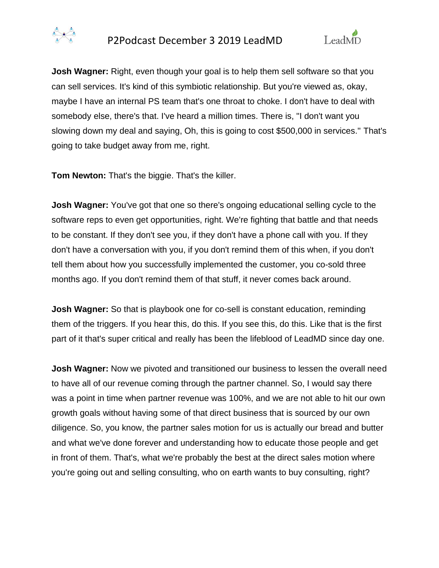



**Josh Wagner:** Right, even though your goal is to help them sell software so that you can sell services. It's kind of this symbiotic relationship. But you're viewed as, okay, maybe I have an internal PS team that's one throat to choke. I don't have to deal with somebody else, there's that. I've heard a million times. There is, ''I don't want you slowing down my deal and saying, Oh, this is going to cost \$500,000 in services.'' That's going to take budget away from me, right.

**Tom Newton:** That's the biggie. That's the killer.

**Josh Wagner:** You've got that one so there's ongoing educational selling cycle to the software reps to even get opportunities, right. We're fighting that battle and that needs to be constant. If they don't see you, if they don't have a phone call with you. If they don't have a conversation with you, if you don't remind them of this when, if you don't tell them about how you successfully implemented the customer, you co-sold three months ago. If you don't remind them of that stuff, it never comes back around.

**Josh Wagner:** So that is playbook one for co-sell is constant education, reminding them of the triggers. If you hear this, do this. If you see this, do this. Like that is the first part of it that's super critical and really has been the lifeblood of LeadMD since day one.

**Josh Wagner:** Now we pivoted and transitioned our business to lessen the overall need to have all of our revenue coming through the partner channel. So, I would say there was a point in time when partner revenue was 100%, and we are not able to hit our own growth goals without having some of that direct business that is sourced by our own diligence. So, you know, the partner sales motion for us is actually our bread and butter and what we've done forever and understanding how to educate those people and get in front of them. That's, what we're probably the best at the direct sales motion where you're going out and selling consulting, who on earth wants to buy consulting, right?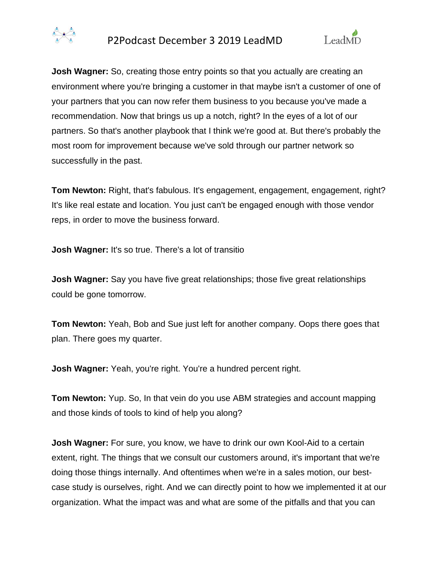



**Josh Wagner:** So, creating those entry points so that you actually are creating an environment where you're bringing a customer in that maybe isn't a customer of one of your partners that you can now refer them business to you because you've made a recommendation. Now that brings us up a notch, right? In the eyes of a lot of our partners. So that's another playbook that I think we're good at. But there's probably the most room for improvement because we've sold through our partner network so successfully in the past.

**Tom Newton:** Right, that's fabulous. It's engagement, engagement, engagement, right? It's like real estate and location. You just can't be engaged enough with those vendor reps, in order to move the business forward.

**Josh Wagner:** It's so true. There's a lot of transitio

**Josh Wagner:** Say you have five great relationships; those five great relationships could be gone tomorrow.

**Tom Newton:** Yeah, Bob and Sue just left for another company. Oops there goes that plan. There goes my quarter.

**Josh Wagner:** Yeah, you're right. You're a hundred percent right.

**Tom Newton:** Yup. So, In that vein do you use ABM strategies and account mapping and those kinds of tools to kind of help you along?

**Josh Wagner:** For sure, you know, we have to drink our own Kool-Aid to a certain extent, right. The things that we consult our customers around, it's important that we're doing those things internally. And oftentimes when we're in a sales motion, our bestcase study is ourselves, right. And we can directly point to how we implemented it at our organization. What the impact was and what are some of the pitfalls and that you can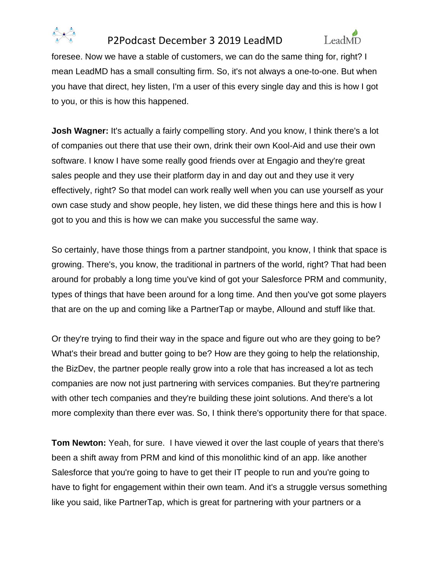



foresee. Now we have a stable of customers, we can do the same thing for, right? I mean LeadMD has a small consulting firm. So, it's not always a one-to-one. But when you have that direct, hey listen, I'm a user of this every single day and this is how I got to you, or this is how this happened.

**Josh Wagner:** It's actually a fairly compelling story. And you know, I think there's a lot of companies out there that use their own, drink their own Kool-Aid and use their own software. I know I have some really good friends over at Engagio and they're great sales people and they use their platform day in and day out and they use it very effectively, right? So that model can work really well when you can use yourself as your own case study and show people, hey listen, we did these things here and this is how I got to you and this is how we can make you successful the same way.

So certainly, have those things from a partner standpoint, you know, I think that space is growing. There's, you know, the traditional in partners of the world, right? That had been around for probably a long time you've kind of got your Salesforce PRM and community, types of things that have been around for a long time. And then you've got some players that are on the up and coming like a PartnerTap or maybe, Allound and stuff like that.

Or they're trying to find their way in the space and figure out who are they going to be? What's their bread and butter going to be? How are they going to help the relationship, the BizDev, the partner people really grow into a role that has increased a lot as tech companies are now not just partnering with services companies. But they're partnering with other tech companies and they're building these joint solutions. And there's a lot more complexity than there ever was. So, I think there's opportunity there for that space.

**Tom Newton:** Yeah, for sure. I have viewed it over the last couple of years that there's been a shift away from PRM and kind of this monolithic kind of an app. like another Salesforce that you're going to have to get their IT people to run and you're going to have to fight for engagement within their own team. And it's a struggle versus something like you said, like PartnerTap, which is great for partnering with your partners or a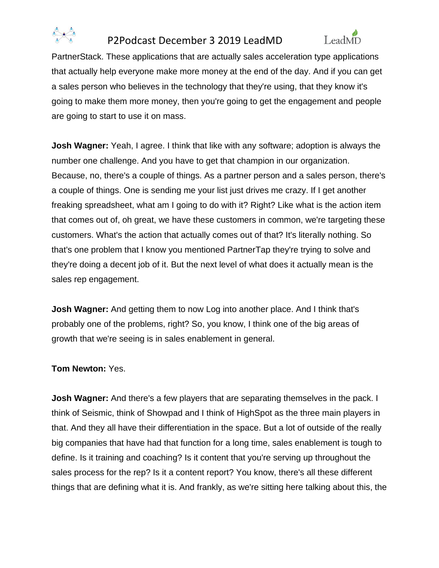



PartnerStack. These applications that are actually sales acceleration type applications that actually help everyone make more money at the end of the day. And if you can get a sales person who believes in the technology that they're using, that they know it's going to make them more money, then you're going to get the engagement and people are going to start to use it on mass.

**Josh Wagner:** Yeah, I agree. I think that like with any software; adoption is always the number one challenge. And you have to get that champion in our organization. Because, no, there's a couple of things. As a partner person and a sales person, there's a couple of things. One is sending me your list just drives me crazy. If I get another freaking spreadsheet, what am I going to do with it? Right? Like what is the action item that comes out of, oh great, we have these customers in common, we're targeting these customers. What's the action that actually comes out of that? It's literally nothing. So that's one problem that I know you mentioned PartnerTap they're trying to solve and they're doing a decent job of it. But the next level of what does it actually mean is the sales rep engagement.

**Josh Wagner:** And getting them to now Log into another place. And I think that's probably one of the problems, right? So, you know, I think one of the big areas of growth that we're seeing is in sales enablement in general.

### **Tom Newton:** Yes.

**Josh Wagner:** And there's a few players that are separating themselves in the pack. I think of Seismic, think of Showpad and I think of HighSpot as the three main players in that. And they all have their differentiation in the space. But a lot of outside of the really big companies that have had that function for a long time, sales enablement is tough to define. Is it training and coaching? Is it content that you're serving up throughout the sales process for the rep? Is it a content report? You know, there's all these different things that are defining what it is. And frankly, as we're sitting here talking about this, the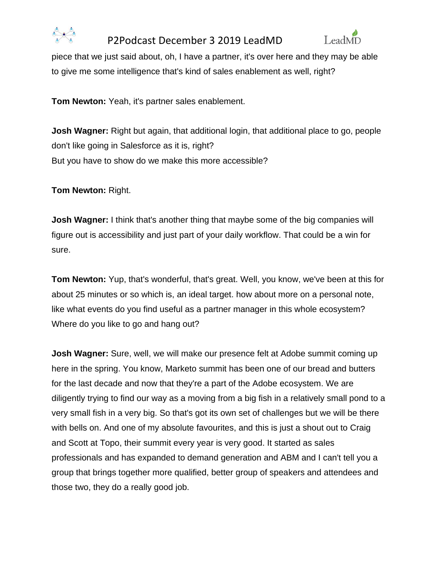



piece that we just said about, oh, I have a partner, it's over here and they may be able to give me some intelligence that's kind of sales enablement as well, right?

**Tom Newton:** Yeah, it's partner sales enablement.

**Josh Wagner:** Right but again, that additional login, that additional place to go, people don't like going in Salesforce as it is, right? But you have to show do we make this more accessible?

**Tom Newton:** Right.

**Josh Wagner:** I think that's another thing that maybe some of the big companies will figure out is accessibility and just part of your daily workflow. That could be a win for sure.

**Tom Newton:** Yup, that's wonderful, that's great. Well, you know, we've been at this for about 25 minutes or so which is, an ideal target. how about more on a personal note, like what events do you find useful as a partner manager in this whole ecosystem? Where do you like to go and hang out?

**Josh Wagner:** Sure, well, we will make our presence felt at Adobe summit coming up here in the spring. You know, Marketo summit has been one of our bread and butters for the last decade and now that they're a part of the Adobe ecosystem. We are diligently trying to find our way as a moving from a big fish in a relatively small pond to a very small fish in a very big. So that's got its own set of challenges but we will be there with bells on. And one of my absolute favourites, and this is just a shout out to Craig and Scott at Topo, their summit every year is very good. It started as sales professionals and has expanded to demand generation and ABM and I can't tell you a group that brings together more qualified, better group of speakers and attendees and those two, they do a really good job.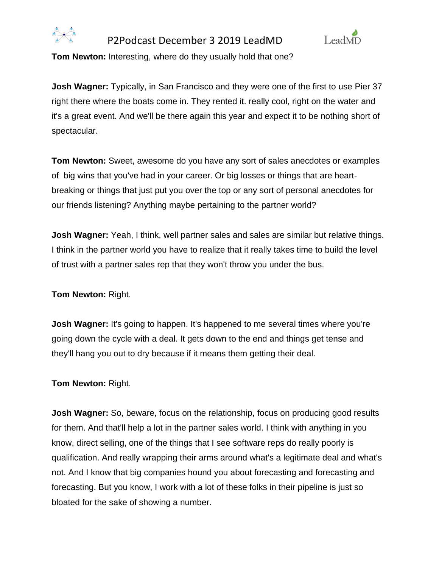



**Tom Newton:** Interesting, where do they usually hold that one?

**Josh Wagner:** Typically, in San Francisco and they were one of the first to use Pier 37 right there where the boats come in. They rented it. really cool, right on the water and it's a great event. And we'll be there again this year and expect it to be nothing short of spectacular.

**Tom Newton:** Sweet, awesome do you have any sort of sales anecdotes or examples of big wins that you've had in your career. Or big losses or things that are heartbreaking or things that just put you over the top or any sort of personal anecdotes for our friends listening? Anything maybe pertaining to the partner world?

**Josh Wagner:** Yeah, I think, well partner sales and sales are similar but relative things. I think in the partner world you have to realize that it really takes time to build the level of trust with a partner sales rep that they won't throw you under the bus.

**Tom Newton:** Right.

**Josh Wagner:** It's going to happen. It's happened to me several times where you're going down the cycle with a deal. It gets down to the end and things get tense and they'll hang you out to dry because if it means them getting their deal.

**Tom Newton:** Right.

**Josh Wagner:** So, beware, focus on the relationship, focus on producing good results for them. And that'll help a lot in the partner sales world. I think with anything in you know, direct selling, one of the things that I see software reps do really poorly is qualification. And really wrapping their arms around what's a legitimate deal and what's not. And I know that big companies hound you about forecasting and forecasting and forecasting. But you know, I work with a lot of these folks in their pipeline is just so bloated for the sake of showing a number.